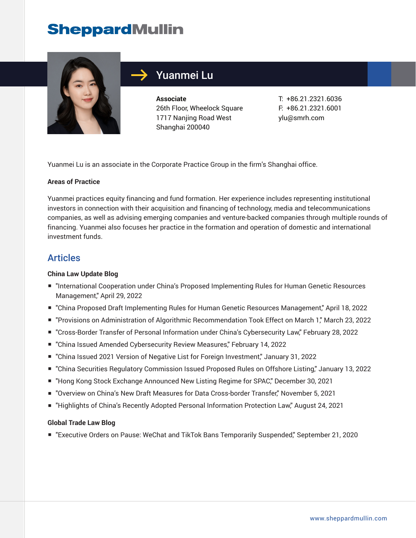## **SheppardMullin**



## Yuanmei Lu

**Associate** 26th Floor, Wheelock Square 1717 Nanjing Road West Shanghai 200040

T: +86.21.2321.6036 F: +86.21.2321.6001 ylu@smrh.com

Yuanmei Lu is an associate in the Corporate Practice Group in the firm's Shanghai office.

#### **Areas of Practice**

Yuanmei practices equity financing and fund formation. Her experience includes representing institutional investors in connection with their acquisition and financing of technology, media and telecommunications companies, as well as advising emerging companies and venture-backed companies through multiple rounds of financing. Yuanmei also focuses her practice in the formation and operation of domestic and international investment funds.

### Articles

#### **China Law Update Blog**

- "International Cooperation under China's Proposed Implementing Rules for Human Genetic Resources Management," April 29, 2022
- "China Proposed Draft Implementing Rules for Human Genetic Resources Management," April 18, 2022
- "Provisions on Administration of Algorithmic Recommendation Took Effect on March 1," March 23, 2022
- "Cross-Border Transfer of Personal Information under China's Cybersecurity Law," February 28, 2022
- "China Issued Amended Cybersecurity Review Measures," February 14, 2022
- "China Issued 2021 Version of Negative List for Foreign Investment," January 31, 2022
- "China Securities Regulatory Commission Issued Proposed Rules on Offshore Listing," January 13, 2022
- "Hong Kong Stock Exchange Announced New Listing Regime for SPAC," December 30, 2021
- "Overview on China's New Draft Measures for Data Cross-border Transfer," November 5, 2021
- "Highlights of China's Recently Adopted Personal Information Protection Law," August 24, 2021

#### **Global Trade Law Blog**

■ "Executive Orders on Pause: WeChat and TikTok Bans Temporarily Suspended," September 21, 2020